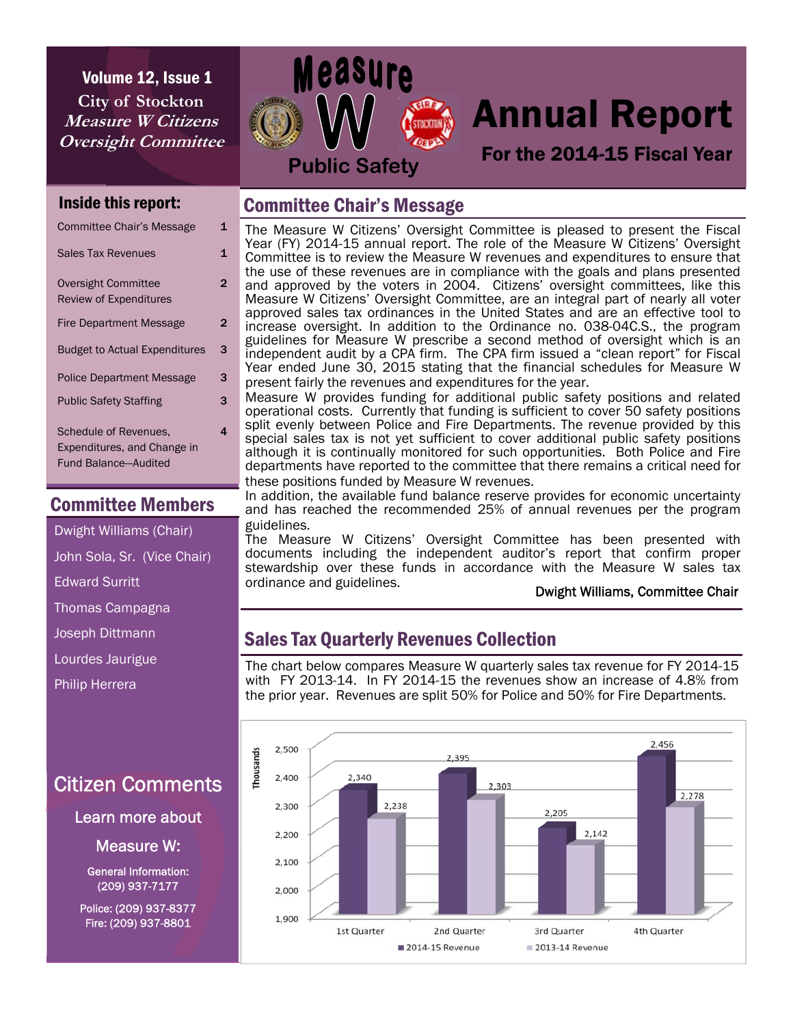Volume 12, Issue 1 **City of Stockton Measure W Citizens Oversight Committee** 

# Measure

## Annual Report

For the 2014-15 Fiscal Year

#### Inside this report:

| <b>Committee Chair's Message</b>                                                    | $\mathbf 1$    |
|-------------------------------------------------------------------------------------|----------------|
| <b>Sales Tax Revenues</b>                                                           | 1              |
| Oversight Committee<br><b>Review of Expenditures</b>                                | 2              |
| Fire Department Message                                                             | $\overline{2}$ |
| <b>Budget to Actual Expenditures</b>                                                | 3              |
| <b>Police Department Message</b>                                                    | 3              |
| <b>Public Safety Staffing</b>                                                       | 3              |
| Schedule of Revenues.<br>Expenditures, and Change in<br><b>Fund Balance-Audited</b> | 4              |
|                                                                                     |                |

## Committee Members

Dwight Williams (Chair)

John Sola, Sr. (Vice Chair)

Edward Surritt

Thomas Campagna

Joseph Dittmann

Lourdes Jaurigue

Philip Herrera

## Citizen Comments

#### Learn more about

Measure W:

General Information: (209) 937-7177

Police: (209) 937-8377 Fire: (209) 937-8801

## Committee Chair's Message

**Public Safety** 

The Measure W Citizens' Oversight Committee is pleased to present the Fiscal Year (FY) 2014-15 annual report. The role of the Measure W Citizens' Oversight Committee is to review the Measure W revenues and expenditures to ensure that the use of these revenues are in compliance with the goals and plans presented and approved by the voters in 2004. Citizens' oversight committees, like this Measure W Citizens' Oversight Committee, are an integral part of nearly all voter approved sales tax ordinances in the United States and are an effective tool to increase oversight. In addition to the Ordinance no. 038-04C.S., the program guidelines for Measure W prescribe a second method of oversight which is an independent audit by a CPA firm. The CPA firm issued a "clean report" for Fiscal Year ended June 30, 2015 stating that the financial schedules for Measure W present fairly the revenues and expenditures for the year.

Measure W provides funding for additional public safety positions and related operational costs. Currently that funding is sufficient to cover 50 safety positions split evenly between Police and Fire Departments. The revenue provided by this special sales tax is not yet sufficient to cover additional public safety positions although it is continually monitored for such opportunities. Both Police and Fire departments have reported to the committee that there remains a critical need for these positions funded by Measure W revenues.

In addition, the available fund balance reserve provides for economic uncertainty and has reached the recommended 25% of annual revenues per the program guidelines.

The Measure W Citizens' Oversight Committee has been presented with documents including the independent auditor's report that confirm proper stewardship over these funds in accordance with the Measure W sales tax ordinance and guidelines.

#### Dwight Williams, Committee Chair

## Sales Tax Quarterly Revenues Collection

The chart below compares Measure W quarterly sales tax revenue for FY 2014-15 with FY 2013-14. In FY 2014-15 the revenues show an increase of 4.8% from the prior year. Revenues are split 50% for Police and 50% for Fire Departments.

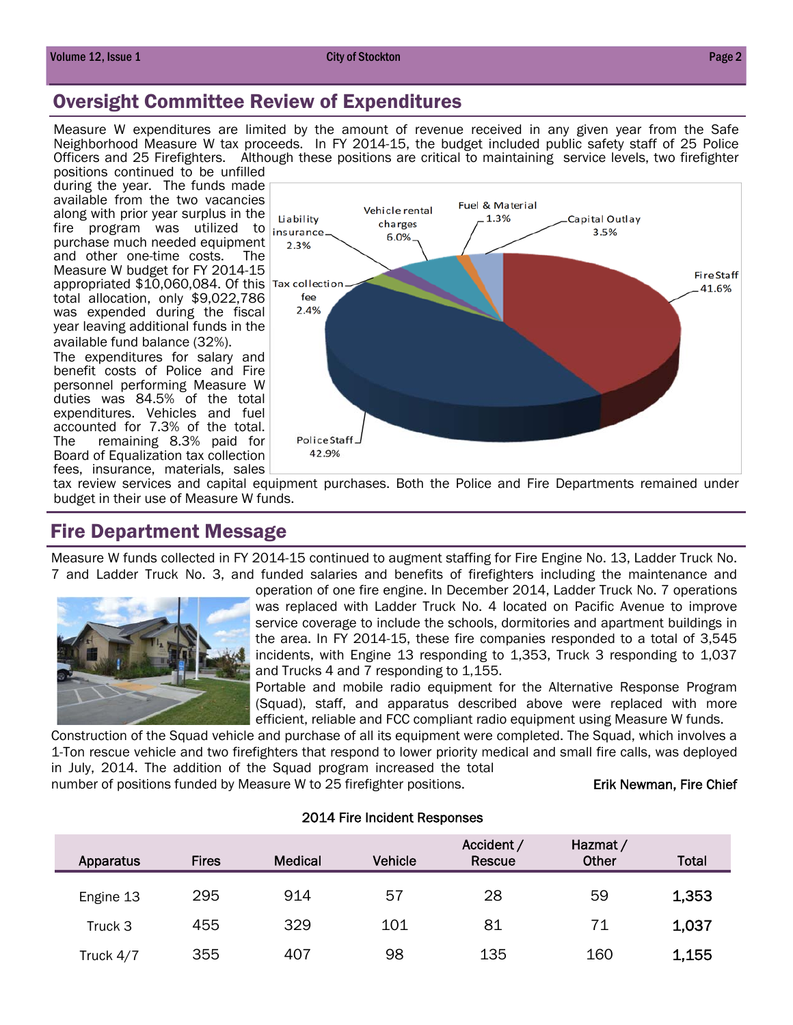#### Volume 12, Issue 1

## Oversight Committee Review of Expenditures

Measure W expenditures are limited by the amount of revenue received in any given year from the Safe Neighborhood Measure W tax proceeds. In FY 2014-15, the budget included public safety staff of 25 Police Officers and 25 Firefighters. Although these positions are critical to maintaining service levels, two firefighter

positions continued to be unfilled during the year. The funds made available from the two vacancies along with prior year surplus in the fire program was utilized to insurance purchase much needed equipment and other one-time costs. The Measure W budget for FY 2014-15 appropriated \$10,060,084. Of this Tax collection. total allocation, only \$9,022,786 was expended during the fiscal year leaving additional funds in the available fund balance (32%).

The expenditures for salary and benefit costs of Police and Fire personnel performing Measure W duties was 84.5% of the total expenditures. Vehicles and fuel accounted for 7.3% of the total. The remaining 8.3% paid for Board of Equalization tax collection fees, insurance, materials, sales



tax review services and capital equipment purchases. Both the Police and Fire Departments remained under budget in their use of Measure W funds.

## Fire Department Message

Measure W funds collected in FY 2014-15 continued to augment staffing for Fire Engine No. 13, Ladder Truck No. 7 and Ladder Truck No. 3, and funded salaries and benefits of firefighters including the maintenance and



operation of one fire engine. In December 2014, Ladder Truck No. 7 operations was replaced with Ladder Truck No. 4 located on Pacific Avenue to improve service coverage to include the schools, dormitories and apartment buildings in the area. In FY 2014-15, these fire companies responded to a total of 3,545 incidents, with Engine 13 responding to 1,353, Truck 3 responding to 1,037 and Trucks 4 and 7 responding to 1,155.

Portable and mobile radio equipment for the Alternative Response Program (Squad), staff, and apparatus described above were replaced with more efficient, reliable and FCC compliant radio equipment using Measure W funds.

Construction of the Squad vehicle and purchase of all its equipment were completed. The Squad, which involves a 1-Ton rescue vehicle and two firefighters that respond to lower priority medical and small fire calls, was deployed in July, 2014. The addition of the Squad program increased the total

number of positions funded by Measure W to 25 firefighter positions.

Erik Newman, Fire Chief

| <b>Apparatus</b> | <b>Fires</b> | <b>Medical</b> | <b>Vehicle</b> | Accident /<br>Rescue | Hazmat /<br>Other | <b>Total</b> |
|------------------|--------------|----------------|----------------|----------------------|-------------------|--------------|
| Engine 13        | 295          | 914            | 57             | 28                   | 59                | 1,353        |
| Truck 3          | 455          | 329            | 101            | 81                   | 71                | 1,037        |
| Truck 4/7        | 355          | 407            | 98             | 135                  | 160               | 1,155        |

#### 2014 Fire Incident Responses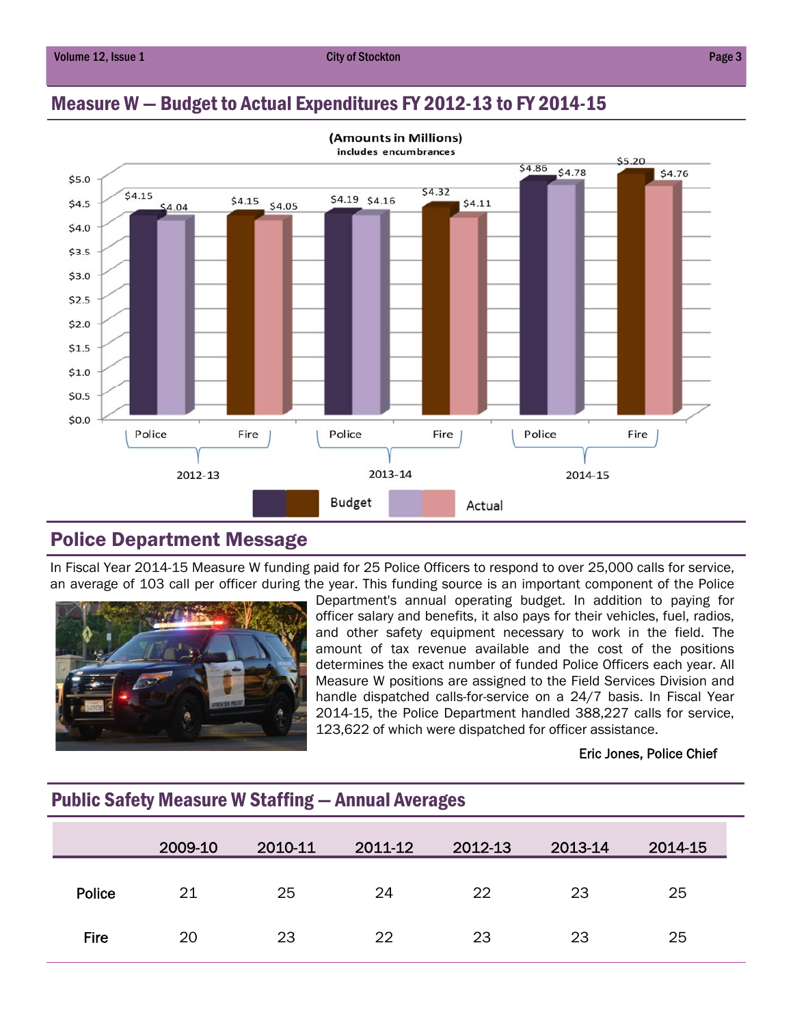City of Stockton **Page 3** 

## Measure W — Budget to Actual Expenditures FY 2012-13 to FY 2014-15



## Police Department Message

In Fiscal Year 2014-15 Measure W funding paid for 25 Police Officers to respond to over 25,000 calls for service, an average of 103 call per officer during the year. This funding source is an important component of the Police



Department's annual operating budget. In addition to paying for officer salary and benefits, it also pays for their vehicles, fuel, radios, and other safety equipment necessary to work in the field. The amount of tax revenue available and the cost of the positions determines the exact number of funded Police Officers each year. All Measure W positions are assigned to the Field Services Division and handle dispatched calls-for-service on a 24/7 basis. In Fiscal Year 2014-15, the Police Department handled 388,227 calls for service, 123,622 of which were dispatched for officer assistance.

#### Eric Jones, Police Chief

| Public Salety Measure W Stafflig — Alliudi Averages |         |         |         |         |         |         |  |
|-----------------------------------------------------|---------|---------|---------|---------|---------|---------|--|
|                                                     | 2009-10 | 2010-11 | 2011-12 | 2012-13 | 2013-14 | 2014-15 |  |
| Police                                              | 21      | 25      | 24      | 22      | 23      | 25      |  |
| <b>Fire</b>                                         | 20      | 23      | 22      | 23      | 23      | 25      |  |

## Public Safety Measure W Staffing — Annual Averages